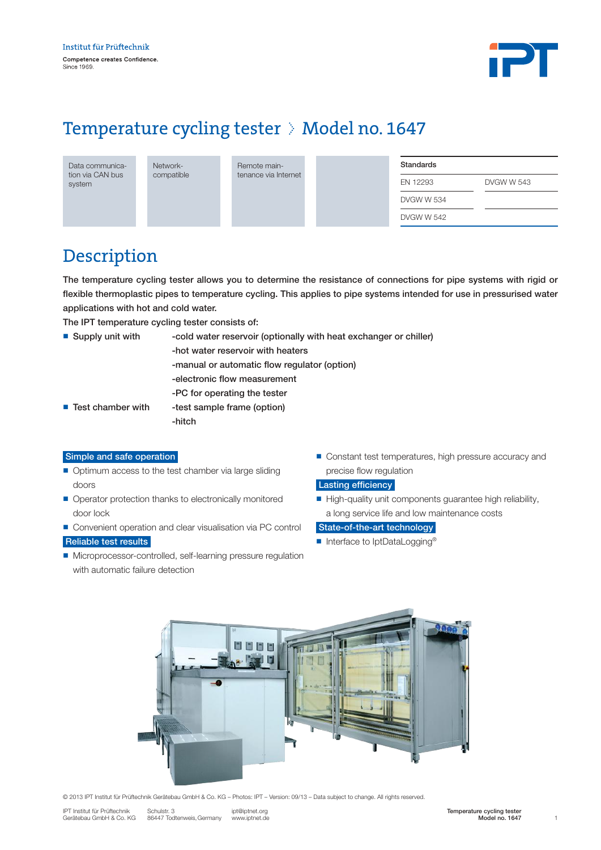

# Temperature cycling tester  $\Diamond$  Model no. 1647

| Data communica-  |
|------------------|
| tion via CAN bus |
| system           |

Networkcompatible Remote maintenance via Internet

| Standards  |            |
|------------|------------|
| EN 12293   | DVGW W 543 |
| DVGW W 534 |            |
| DVGW W 542 |            |

### Description

The temperature cycling tester allows you to determine the resistance of connections for pipe systems with rigid or flexible thermoplastic pipes to temperature cycling. This applies to pipe systems intended for use in pressurised water applications with hot and cold water.

The IPT temperature cycling tester consists of:

| $\blacksquare$ Supply unit with  | -cold water reservoir (optionally with heat exchanger or chiller) |
|----------------------------------|-------------------------------------------------------------------|
|                                  | -hot water reservoir with heaters                                 |
|                                  | -manual or automatic flow regulator (option)                      |
|                                  | -electronic flow measurement                                      |
|                                  | -PC for operating the tester                                      |
| $\blacksquare$ Test chamber with | -test sample frame (option)                                       |
|                                  | -hitch                                                            |

#### Simple and safe operation

- $\blacksquare$  Optimum access to the test chamber via large sliding doors
- Operator protection thanks to electronically monitored door lock
- Convenient operation and clear visualisation via PC control Reliable test results
- Microprocessor-controlled, self-learning pressure regulation with automatic failure detection
- Constant test temperatures, high pressure accuracy and precise flow regulation

### Lasting efficiency

n High-quality unit components guarantee high reliability, a long service life and low maintenance costs

#### State-of-the-art technology

■ Interface to IptDataLogging<sup>®</sup>



© 2013 IPT Institut für Prüftechnik Gerätebau GmbH & Co. KG – Photos: IPT – Version: 09/13 – Data subject to change. All rights reserved.